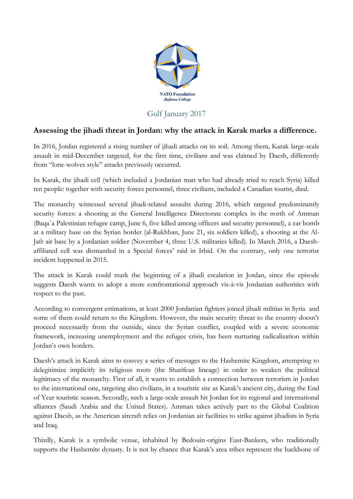

## Gulf January 2017

## **Assessing the jihadi threat in Jordan: why the attack in Karak marks a difference.**

In 2016, Jordan registered a rising number of jihadi attacks on its soil. Among them, Karak large-scale assault in mid-December targeted, for the first time, civilians and was claimed by Daesh, differently from "lone-wolves style" attacks previously occurred.

In Karak, the jihadi cell (which included a Jordanian man who had already tried to reach Syria) killed ten people: together with security forces personnel, three civilians, included a Canadian tourist, died.

The monarchy witnessed several jihadi-related assaults during 2016, which targeted predominantly security forces: a shooting at the General Intelligence Directorate complex in the north of Amman (Baqaˋa Palestinian refugee camp, June 6, five killed among officers and security personnel), a car bomb at a military base on the Syrian border (al-Rukhban, June 21, six soldiers killed), a shooting at the Al-Jafr air base by a Jordanian soldier (November 4, three U.S. militaries killed). In March 2016, a Daeshaffiliated cell was dismantled in a Special forces' raid in Irbid. On the contrary, only one terrorist incident happened in 2015.

The attack in Karak could mark the beginning of a jihadi escalation in Jordan, since the episode suggests Daesh wants to adopt a more confrontational approach vis-à-vis Jordanian authorities with respect to the past.

According to convergent estimations, at least 2000 Jordanian fighters joined jihadi militias in Syria and some of them could return to the Kingdom. However, the main security threat to the country doesn't proceed necessarily from the outside, since the Syrian conflict, coupled with a severe economic framework, increasing unemployment and the refugee crisis, has been nurturing radicalization within Jordan's own borders.

Daesh's attack in Karak aims to convey a series of messages to the Hashemite Kingdom, attempting to delegitimize implicitly its religious roots (the Sharifean lineage) in order to weaken the political legitimacy of the monarchy. First of all, it wants to establish a connection between terrorism in Jordan to the international one, targeting also civilians, in a touristic site as Karak's ancient city, during the End of Year touristic season. Secondly, such a large-scale assault hit Jordan for its regional and international alliances (Saudi Arabia and the United States). Amman takes actively part to the Global Coalition against Daesh, as the American aircraft relies on Jordanian air facilities to strike against jihadists in Syria and Iraq.

Thirdly, Karak is a symbolic venue, inhabited by Bedouin-origins East-Bankers, who traditionally supports the Hashemite dynasty. It is not by chance that Karak's area tribes represent the backbone of